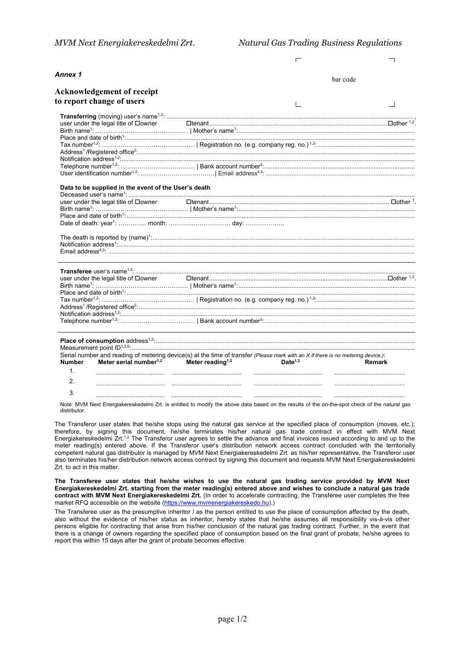|                |                                                                 | ┍                                                                                                                                |          |
|----------------|-----------------------------------------------------------------|----------------------------------------------------------------------------------------------------------------------------------|----------|
| Annex 1        |                                                                 |                                                                                                                                  | bar code |
|                | <b>Acknowledgement of receipt</b>                               |                                                                                                                                  |          |
|                | to report change of users                                       |                                                                                                                                  |          |
|                |                                                                 |                                                                                                                                  |          |
|                |                                                                 |                                                                                                                                  |          |
|                | user under the legal title of □owner                            |                                                                                                                                  |          |
|                |                                                                 |                                                                                                                                  |          |
|                |                                                                 |                                                                                                                                  |          |
|                |                                                                 |                                                                                                                                  |          |
|                |                                                                 |                                                                                                                                  |          |
|                |                                                                 |                                                                                                                                  |          |
|                |                                                                 |                                                                                                                                  |          |
|                |                                                                 |                                                                                                                                  |          |
|                | Data to be supplied in the event of the User's death            |                                                                                                                                  |          |
|                |                                                                 |                                                                                                                                  |          |
|                | user under the legal title of □owner                            |                                                                                                                                  |          |
|                |                                                                 |                                                                                                                                  |          |
|                |                                                                 |                                                                                                                                  |          |
|                |                                                                 |                                                                                                                                  |          |
|                |                                                                 |                                                                                                                                  |          |
|                |                                                                 |                                                                                                                                  |          |
|                | user under the legal title of □owner                            |                                                                                                                                  |          |
|                |                                                                 |                                                                                                                                  |          |
|                |                                                                 |                                                                                                                                  |          |
|                |                                                                 |                                                                                                                                  |          |
|                |                                                                 |                                                                                                                                  |          |
|                |                                                                 |                                                                                                                                  |          |
|                |                                                                 |                                                                                                                                  |          |
|                |                                                                 |                                                                                                                                  |          |
|                |                                                                 |                                                                                                                                  |          |
|                |                                                                 | Serial number and reading of metering device(s) at the time of transfer (Please mark with an X if there is no metering device.): |          |
| <b>Number</b>  | Meter serial number <sup>1,2</sup> Meter reading <sup>1,2</sup> | <b>Date<sup>1,2</sup></b>                                                                                                        | Remark   |
| $\mathbf{1}$ . |                                                                 |                                                                                                                                  |          |
| 2.             |                                                                 |                                                                                                                                  |          |
| 3.             |                                                                 |                                                                                                                                  |          |
|                |                                                                 |                                                                                                                                  |          |

Note: MVM Next Energiakereskedelmi Zrt. is entitled to modify the above data based on the results of the on-the-spot check of the natural gas distributor.

The Transferor user states that he/she stops using the natural gas service at the specified place of consumption (moves, etc.); therefore, by signing this document, he/she terminates his/her natural gas trade contract in effect with MVM Next Energiakereskedelmi Zrt.<sup>1,2</sup> The Transferor user agrees to settle the advance and final invoices issued according to and up to the meter reading(s) entered above. If the Transferor user's distribution network access contract concluded with the territorially competent natural gas distributor is managed by MVM Next Energiakereskedelmi Zrt. as his/her representative, the Transferor user also terminates his/her distribution network access contract by signing this document and requests MVM Next Energiakereskedelmi Zrt. to act in this matter.

**The Transferee user states that he/she wishes to use the natural gas trading service provided by MVM Next Energiakereskedelmi Zrt. starting from the meter reading(s) entered above and wishes to conclude a natural gas trade contract with MVM Next Energiakereskedelmi Zrt.** (In order to accelerate contracting, the Transferee user completes the free market RFQ accessible on the website [\(https://www.mvmenergiakereskedo.hu\).](https://www.mvmenergiakereskedo.hu/))

The Transferee user as the presumptive inheritor / as the person entitled to use the place of consumption affected by the death, also without the evidence of his/her status as inheritor, hereby states that he/she assumes all responsibility vis-à-vis other persons eligible for contracting that arise from his/her conclusion of the natural gas trading contract. Further, in the event that there is a change of owners regarding the specified place of consumption based on the final grant of probate, he/she agrees to report this within 15 days after the grant of probate becomes effective.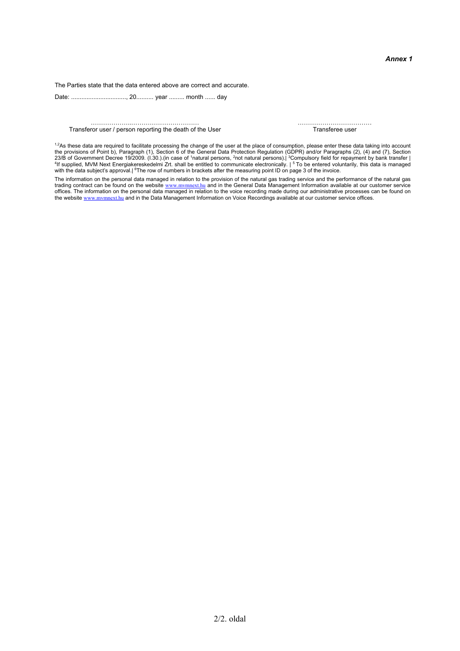The Parties state that the data entered above are correct and accurate.

Date: ................................, 20.......... year ......... month ...... day

………………..…………………………… ……………………………… Transferor user / person reporting the death of the User

 $1.2$ As these data are required to facilitate processing the change of the user at the place of consumption, please enter these data taking into account the provisions of Point b), Paragraph (1), Section 6 of the General Data Protection Regulation (GDPR) and/or Paragraphs (2), (4) and (7), Section 23/B of Government Decree 19/2009. (I.30.).(in case of <sup>1</sup>natural persons, <sup>2</sup>not natural persons).| <sup>3</sup>Compulsory field for repayment by bank transfer |<br><sup>4</sup>If supplied, MVM Next Energiakereskedelmi Zrt. shall be entitled with the data subject's approval.| <sup>6</sup>The row of numbers in brackets after the measuring point ID on page 3 of the invoice.

The information on the personal data managed in relation to the provision of the natural gas trading service and the performance of the natural gas<br>trading contract can be found on the website <u>[www.mvmnext.hu](http://www.mvmnext.hu/)</u> and in the G offices. The information on the personal data managed in relation to the voice recording made during our administrative processes can be found on<br>the website <u>[www.mvmnext.hu](http://www.mvmnext.hu/)</u> and in the Data Management Information on Voice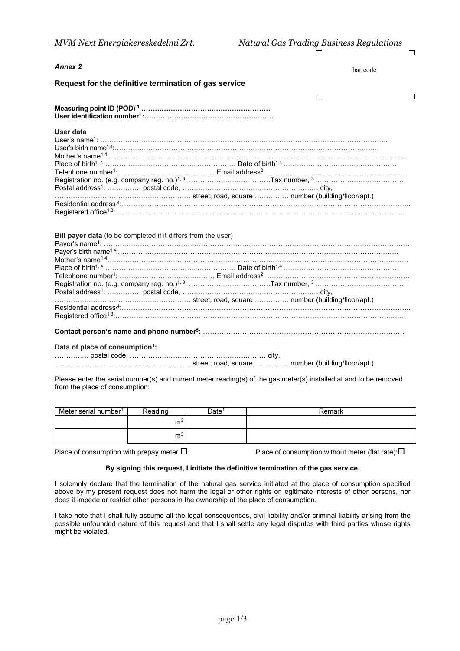$\overline{\phantom{0}}$ 

| <b>Annex 2</b>                                                | bar code                                                                                                          |
|---------------------------------------------------------------|-------------------------------------------------------------------------------------------------------------------|
| Request for the definitive termination of gas service         |                                                                                                                   |
|                                                               |                                                                                                                   |
|                                                               |                                                                                                                   |
| <b>User data</b>                                              |                                                                                                                   |
|                                                               |                                                                                                                   |
|                                                               |                                                                                                                   |
|                                                               |                                                                                                                   |
|                                                               |                                                                                                                   |
|                                                               |                                                                                                                   |
|                                                               | Registration no. (e.g. company reg. no.) <sup>1, 3</sup> : …………………………………Tax number, <sup>3</sup> …………………………………    |
|                                                               | Postal address <sup>1</sup> : …………… postal code, …………………………………………………… city,                                       |
|                                                               |                                                                                                                   |
|                                                               |                                                                                                                   |
| Bill payer data (to be completed if it differs from the user) | Registration no. (e.g. company reg. no.) <sup>1, 3</sup> : …………………………………Tax number, <sup>3</sup> …………………………………    |
|                                                               |                                                                                                                   |
| Data of place of consumption <sup>1</sup> :                   |                                                                                                                   |
| from the place of consumption:                                | Please enter the serial number(s) and current meter reading(s) of the gas meter(s) installed at and to be removed |

| Meter serial number <sup>1</sup> | Reading <sup>1</sup> | Date <sup>1</sup> | Remark |
|----------------------------------|----------------------|-------------------|--------|
|                                  | $\sim$<br>m          |                   |        |
|                                  | m <sup>3</sup>       |                   |        |

Place of consumption with prepay meter  $\Box$  Place of consumption without meter (flat rate): $\Box$ 

## **By signing this request, I initiate the definitive termination of the gas service.**

I solemnly declare that the termination of the natural gas service initiated at the place of consumption specified above by my present request does not harm the legal or other rights or legitimate interests of other persons, nor does it impede or restrict other persons in the ownership of the place of consumption.

I take note that I shall fully assume all the legal consequences, civil liability and/or criminal liability arising from the possible unfounded nature of this request and that I shall settle any legal disputes with third parties whose rights might be violated.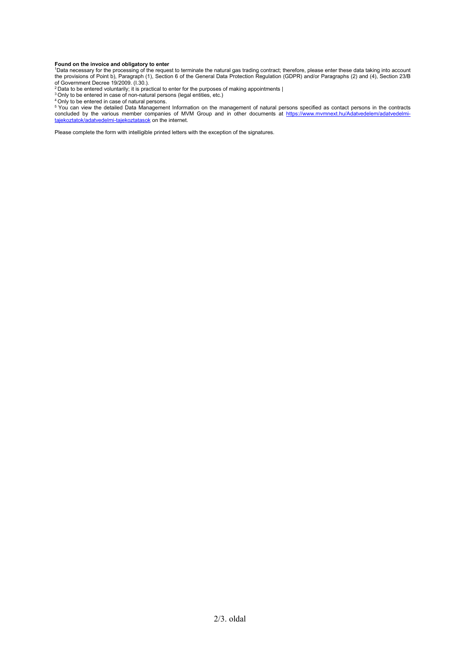**Found on the invoice and obligatory to enter**<br><sup>1</sup>Data necessary for the processing of the request to terminate the natural gas trading contract; therefore, please enter these data taking into account the provisions of Point b), Paragraph (1), Section 6 of the General Data Protection Regulation (GDPR) and/or Paragraphs (2) and (4), Section 23/B of Government Decree 19/2009. (I.30.).

<sup>2</sup> Data to be entered voluntarily; it is practical to enter for the purposes of making appointments |<br><sup>3</sup> Only to be entered in case of non-natural persons (legal entities, etc.)

<sup>4</sup> Only to be entered in case of natural persons.

<sup>5</sup> You can view the detailed Data Management Information on the management of natural persons specified as contact persons in the contracts concluded by the various member companies of MVM Group and in other documents at [https://www.mvmnext.hu/Adatvedelem/adatvedelmi](https://www.mvmnext.hu/Adatvedelem/adatvedelmi-tajekoztatok/adatvedelmi-tajekoztatasok)<u>[tajekoztatok/adatvedelmi-tajekoztatasok](https://www.mvmnext.hu/Adatvedelem/adatvedelmi-tajekoztatok/adatvedelmi-tajekoztatasok)</u> on the internet.

Please complete the form with intelligible printed letters with the exception of the signatures.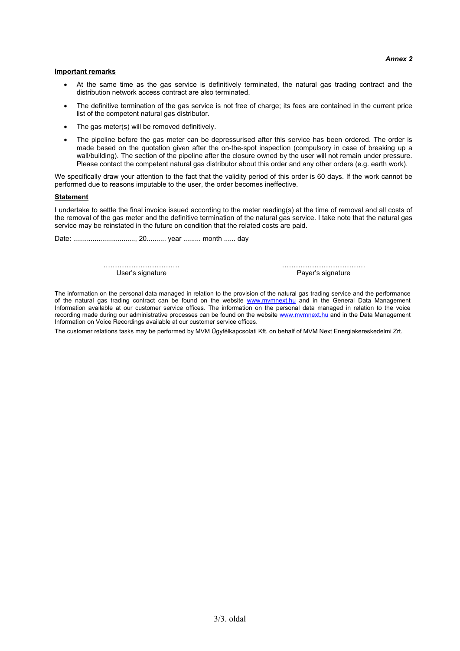#### **Important remarks**

- At the same time as the gas service is definitively terminated, the natural gas trading contract and the distribution network access contract are also terminated.
- The definitive termination of the gas service is not free of charge; its fees are contained in the current price list of the competent natural gas distributor.
- The gas meter(s) will be removed definitively.
- The pipeline before the gas meter can be depressurised after this service has been ordered. The order is made based on the quotation given after the on-the-spot inspection (compulsory in case of breaking up a wall/building). The section of the pipeline after the closure owned by the user will not remain under pressure. Please contact the competent natural gas distributor about this order and any other orders (e.g. earth work).

We specifically draw your attention to the fact that the validity period of this order is 60 days. If the work cannot be performed due to reasons imputable to the user, the order becomes ineffective.

#### **Statement**

I undertake to settle the final invoice issued according to the meter reading(s) at the time of removal and all costs of the removal of the gas meter and the definitive termination of the natural gas service. I take note that the natural gas service may be reinstated in the future on condition that the related costs are paid.

Date: ................................, 20.......... year ......... month ...... day

…………………………… ……………………………… User's signature **Payer's signature** 

The information on the personal data managed in relation to the provision of the natural gas trading service and the performance of the natural gas trading contract can be found on the website [www.mvmnext.hu](http://www.mvmnext.hu/) and in the General Data Management Information available at our customer service offices. The information on the personal data managed in relation to the voice recording made during our administrative processes can be found on the website [www.mvmnext.hu](http://www.mvmnext.hu/) and in the Data Management Information on Voice Recordings available at our customer service offices.

The customer relations tasks may be performed by MVM Ügyfélkapcsolati Kft. on behalf of MVM Next Energiakereskedelmi Zrt.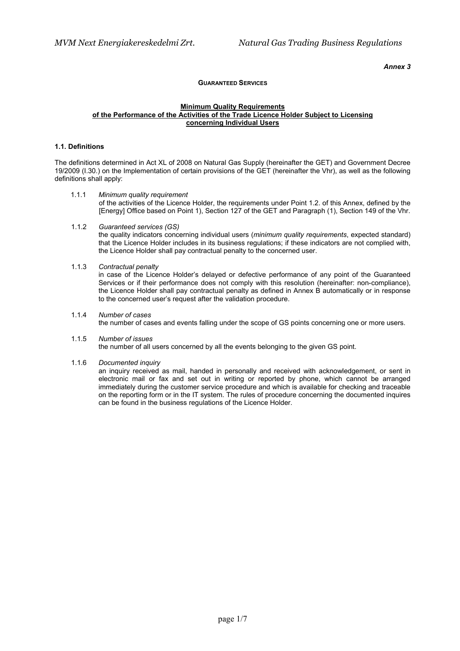## *Annex 3*

# **GUARANTEED SERVICES**

#### **Minimum Quality Requirements of the Performance of the Activities of the Trade Licence Holder Subject to Licensing concerning Individual Users**

## **1.1. Definitions**

The definitions determined in Act XL of 2008 on Natural Gas Supply (hereinafter the GET) and Government Decree 19/2009 (I.30.) on the Implementation of certain provisions of the GET (hereinafter the Vhr), as well as the following definitions shall apply:

- 1.1.1 *Minimum quality requirement* of the activities of the Licence Holder, the requirements under Point 1.2. of this Annex, defined by the [Energy] Office based on Point 1), Section 127 of the GET and Paragraph (1), Section 149 of the Vhr.
- 1.1.2 *Guaranteed services (GS)*

the quality indicators concerning individual users (*minimum quality requirements*, expected standard) that the Licence Holder includes in its business regulations; if these indicators are not complied with, the Licence Holder shall pay contractual penalty to the concerned user.

1.1.3 *Contractual penalty*

in case of the Licence Holder's delayed or defective performance of any point of the Guaranteed Services or if their performance does not comply with this resolution (hereinafter: non-compliance), the Licence Holder shall pay contractual penalty as defined in Annex B automatically or in response to the concerned user's request after the validation procedure.

#### 1.1.4 *Number of cases*

the number of cases and events falling under the scope of GS points concerning one or more users.

1.1.5 *Number of issues*

the number of all users concerned by all the events belonging to the given GS point.

1.1.6 *Documented inquiry*

an inquiry received as mail, handed in personally and received with acknowledgement, or sent in electronic mail or fax and set out in writing or reported by phone, which cannot be arranged immediately during the customer service procedure and which is available for checking and traceable on the reporting form or in the IT system. The rules of procedure concerning the documented inquires can be found in the business regulations of the Licence Holder.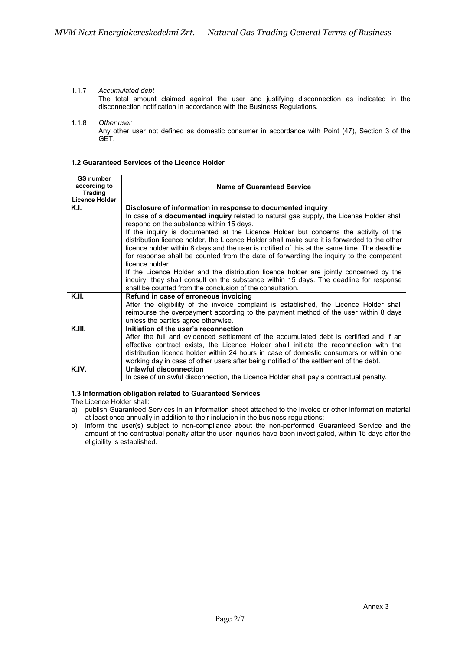## 1.1.7 *Accumulated debt*

The total amount claimed against the user and justifying disconnection as indicated in the disconnection notification in accordance with the Business Regulations.

# 1.1.8 *Other user*

Any other user not defined as domestic consumer in accordance with Point (47), Section 3 of the GET.

## **1.2 Guaranteed Services of the Licence Holder**

| <b>GS number</b>      |                                                                                              |  |  |
|-----------------------|----------------------------------------------------------------------------------------------|--|--|
| according to          | <b>Name of Guaranteed Service</b>                                                            |  |  |
| <b>Trading</b>        |                                                                                              |  |  |
| <b>Licence Holder</b> |                                                                                              |  |  |
| K.I.                  | Disclosure of information in response to documented inquiry                                  |  |  |
|                       | In case of a documented inquiry related to natural gas supply, the License Holder shall      |  |  |
|                       | respond on the substance within 15 days.                                                     |  |  |
|                       | If the inquiry is documented at the Licence Holder but concerns the activity of the          |  |  |
|                       | distribution licence holder, the Licence Holder shall make sure it is forwarded to the other |  |  |
|                       | licence holder within 8 days and the user is notified of this at the same time. The deadline |  |  |
|                       | for response shall be counted from the date of forwarding the inquiry to the competent       |  |  |
|                       | licence holder.                                                                              |  |  |
|                       | If the Licence Holder and the distribution licence holder are jointly concerned by the       |  |  |
|                       | inquiry, they shall consult on the substance within 15 days. The deadline for response       |  |  |
|                       | shall be counted from the conclusion of the consultation.                                    |  |  |
| K.II.                 | Refund in case of erroneous invoicing                                                        |  |  |
|                       | After the eligibility of the invoice complaint is established, the Licence Holder shall      |  |  |
|                       | reimburse the overpayment according to the payment method of the user within 8 days          |  |  |
|                       | unless the parties agree otherwise.                                                          |  |  |
| K.III.                | Initiation of the user's reconnection                                                        |  |  |
|                       | After the full and evidenced settlement of the accumulated debt is certified and if an       |  |  |
|                       | effective contract exists, the Licence Holder shall initiate the reconnection with the       |  |  |
|                       | distribution licence holder within 24 hours in case of domestic consumers or within one      |  |  |
|                       | working day in case of other users after being notified of the settlement of the debt.       |  |  |
| K.IV.                 | <b>Unlawful disconnection</b>                                                                |  |  |
|                       | In case of unlawful disconnection, the Licence Holder shall pay a contractual penalty.       |  |  |

# **1.3 Information obligation related to Guaranteed Services**

The Licence Holder shall:

- a) publish Guaranteed Services in an information sheet attached to the invoice or other information material at least once annually in addition to their inclusion in the business regulations;
- b) inform the user(s) subject to non-compliance about the non-performed Guaranteed Service and the amount of the contractual penalty after the user inquiries have been investigated, within 15 days after the eligibility is established.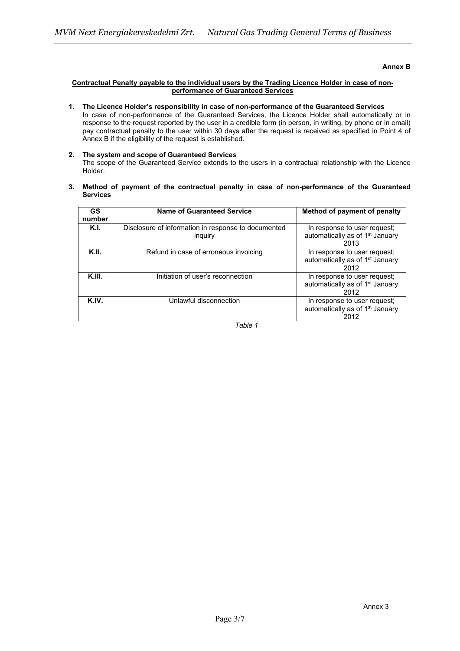## **Annex B**

## **Contractual Penalty payable to the individual users by the Trading Licence Holder in case of nonperformance of Guaranteed Services**

## **1. The Licence Holder's responsibility in case of non-performance of the Guaranteed Services** In case of non-performance of the Guaranteed Services, the Licence Holder shall automatically or in response to the request reported by the user in a credible form (in person, in writing, by phone or in email) pay contractual penalty to the user within 30 days after the request is received as specified in Point 4 of Annex B if the eligibility of the request is established.

#### **2. The system and scope of Guaranteed Services** The scope of the Guaranteed Service extends to the users in a contractual relationship with the Licence Holder.

## **3. Method of payment of the contractual penalty in case of non-performance of the Guaranteed Services**

| <b>GS</b><br>number | Name of Guaranteed Service                                     | Method of payment of penalty                                                        |
|---------------------|----------------------------------------------------------------|-------------------------------------------------------------------------------------|
| K.I.                | Disclosure of information in response to documented<br>inguiry | In response to user request;<br>automatically as of 1 <sup>st</sup> January<br>2013 |
| K.II.               | Refund in case of erroneous invoicing                          | In response to user request;<br>automatically as of 1 <sup>st</sup> January<br>2012 |
| K.III.              | Initiation of user's reconnection                              | In response to user request;<br>automatically as of 1 <sup>st</sup> January<br>2012 |
| K.IV.               | Unlawful disconnection                                         | In response to user request;<br>automatically as of 1 <sup>st</sup> January<br>2012 |

*Table 1*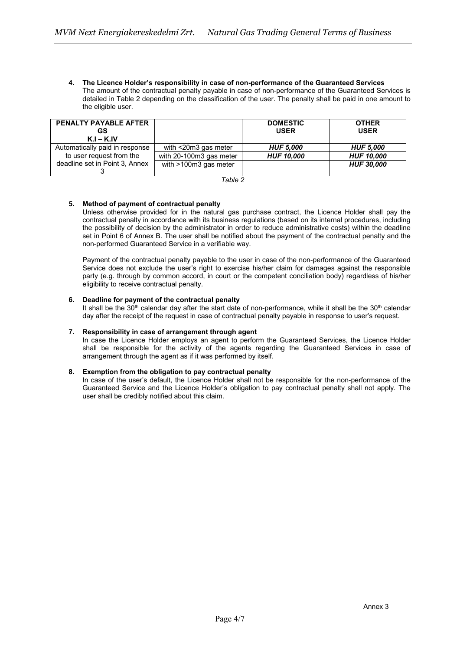**4. The Licence Holder's responsibility in case of non-performance of the Guaranteed Services** The amount of the contractual penalty payable in case of non-performance of the Guaranteed Services is detailed in Table 2 depending on the classification of the user. The penalty shall be paid in one amount to the eligible user.

| <b>PENALTY PAYABLE AFTER</b><br>GS<br>$K.I - K.IV$ |                            | <b>DOMESTIC</b><br><b>USER</b> | <b>OTHER</b><br><b>USER</b> |
|----------------------------------------------------|----------------------------|--------------------------------|-----------------------------|
| Automatically paid in response                     | with $\leq$ 20m3 gas meter | <b>HUF 5,000</b>               | <b>HUF 5,000</b>            |
| to user request from the                           | with 20-100m3 gas meter    | <b>HUF 10,000</b>              | <b>HUF 10,000</b>           |
| deadline set in Point 3, Annex                     | with $>100m3$ gas meter    |                                | <b>HUF 30,000</b>           |

*Table 2*

# **5. Method of payment of contractual penalty**

Unless otherwise provided for in the natural gas purchase contract, the Licence Holder shall pay the contractual penalty in accordance with its business regulations (based on its internal procedures, including the possibility of decision by the administrator in order to reduce administrative costs) within the deadline set in Point 6 of Annex B. The user shall be notified about the payment of the contractual penalty and the non-performed Guaranteed Service in a verifiable way.

Payment of the contractual penalty payable to the user in case of the non-performance of the Guaranteed Service does not exclude the user's right to exercise his/her claim for damages against the responsible party (e.g. through by common accord, in court or the competent conciliation body) regardless of his/her eligibility to receive contractual penalty.

## **6. Deadline for payment of the contractual penalty**

It shall be the 30<sup>th</sup> calendar day after the start date of non-performance, while it shall be the 30<sup>th</sup> calendar day after the receipt of the request in case of contractual penalty payable in response to user's request.

#### **7. Responsibility in case of arrangement through agent**

In case the Licence Holder employs an agent to perform the Guaranteed Services, the Licence Holder shall be responsible for the activity of the agents regarding the Guaranteed Services in case of arrangement through the agent as if it was performed by itself.

# **8. Exemption from the obligation to pay contractual penalty**

In case of the user's default, the Licence Holder shall not be responsible for the non-performance of the Guaranteed Service and the Licence Holder's obligation to pay contractual penalty shall not apply. The user shall be credibly notified about this claim.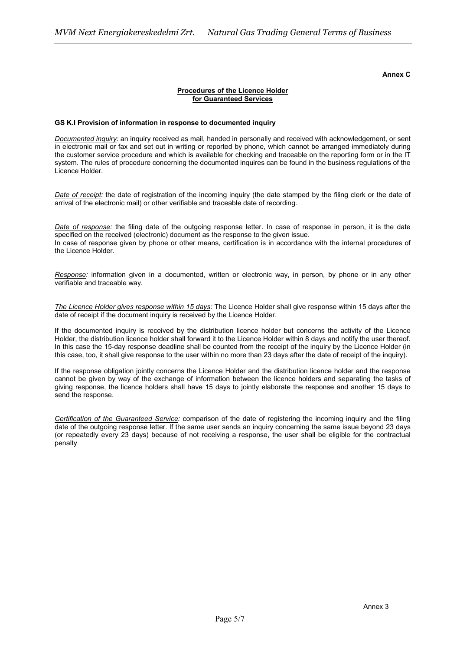## **Annex C**

# **Procedures of the Licence Holder for Guaranteed Services**

## **GS K.I Provision of information in response to documented inquiry**

*Documented inquiry:* an inquiry received as mail, handed in personally and received with acknowledgement, or sent in electronic mail or fax and set out in writing or reported by phone, which cannot be arranged immediately during the customer service procedure and which is available for checking and traceable on the reporting form or in the IT system. The rules of procedure concerning the documented inquires can be found in the business regulations of the Licence Holder.

*Date of receipt:* the date of registration of the incoming inquiry (the date stamped by the filing clerk or the date of arrival of the electronic mail) or other verifiable and traceable date of recording.

*Date of response:* the filing date of the outgoing response letter. In case of response in person, it is the date specified on the received (electronic) document as the response to the given issue. In case of response given by phone or other means, certification is in accordance with the internal procedures of the Licence Holder.

*Response:* information given in a documented, written or electronic way, in person, by phone or in any other verifiable and traceable way.

*The Licence Holder gives response within 15 days:* The Licence Holder shall give response within 15 days after the date of receipt if the document inquiry is received by the Licence Holder.

If the documented inquiry is received by the distribution licence holder but concerns the activity of the Licence Holder, the distribution licence holder shall forward it to the Licence Holder within 8 days and notify the user thereof. In this case the 15-day response deadline shall be counted from the receipt of the inquiry by the Licence Holder (in this case, too, it shall give response to the user within no more than 23 days after the date of receipt of the inquiry).

If the response obligation jointly concerns the Licence Holder and the distribution licence holder and the response cannot be given by way of the exchange of information between the licence holders and separating the tasks of giving response, the licence holders shall have 15 days to jointly elaborate the response and another 15 days to send the response.

*Certification of the Guaranteed Service:* comparison of the date of registering the incoming inquiry and the filing date of the outgoing response letter. If the same user sends an inquiry concerning the same issue beyond 23 days (or repeatedly every 23 days) because of not receiving a response, the user shall be eligible for the contractual penalty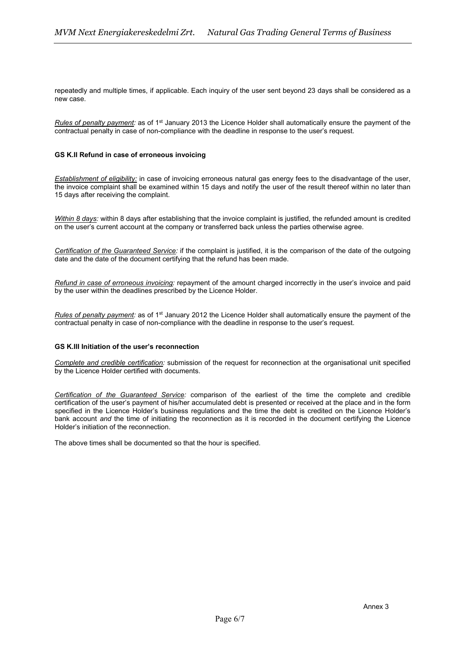repeatedly and multiple times, if applicable. Each inquiry of the user sent beyond 23 days shall be considered as a new case.

*Rules of penalty payment:* as of 1<sup>st</sup> January 2013 the Licence Holder shall automatically ensure the payment of the contractual penalty in case of non-compliance with the deadline in response to the user's request.

## **GS K.II Refund in case of erroneous invoicing**

*Establishment of eligibility:* in case of invoicing erroneous natural gas energy fees to the disadvantage of the user, the invoice complaint shall be examined within 15 days and notify the user of the result thereof within no later than 15 days after receiving the complaint.

*Within 8 days:* within 8 days after establishing that the invoice complaint is justified, the refunded amount is credited on the user's current account at the company or transferred back unless the parties otherwise agree.

*Certification of the Guaranteed Service:* if the complaint is justified, it is the comparison of the date of the outgoing date and the date of the document certifying that the refund has been made.

*Refund in case of erroneous invoicing:* repayment of the amount charged incorrectly in the user's invoice and paid by the user within the deadlines prescribed by the Licence Holder.

*Rules of penalty payment:* as of 1st January 2012 the Licence Holder shall automatically ensure the payment of the contractual penalty in case of non-compliance with the deadline in response to the user's request.

#### **GS K.III Initiation of the user's reconnection**

*Complete and credible certification:* submission of the request for reconnection at the organisational unit specified by the Licence Holder certified with documents.

*Certification of the Guaranteed Service:* comparison of the earliest of the time the complete and credible certification of the user's payment of his/her accumulated debt is presented or received at the place and in the form specified in the Licence Holder's business regulations and the time the debt is credited on the Licence Holder's bank account *and* the time of initiating the reconnection as it is recorded in the document certifying the Licence Holder's initiation of the reconnection.

The above times shall be documented so that the hour is specified.